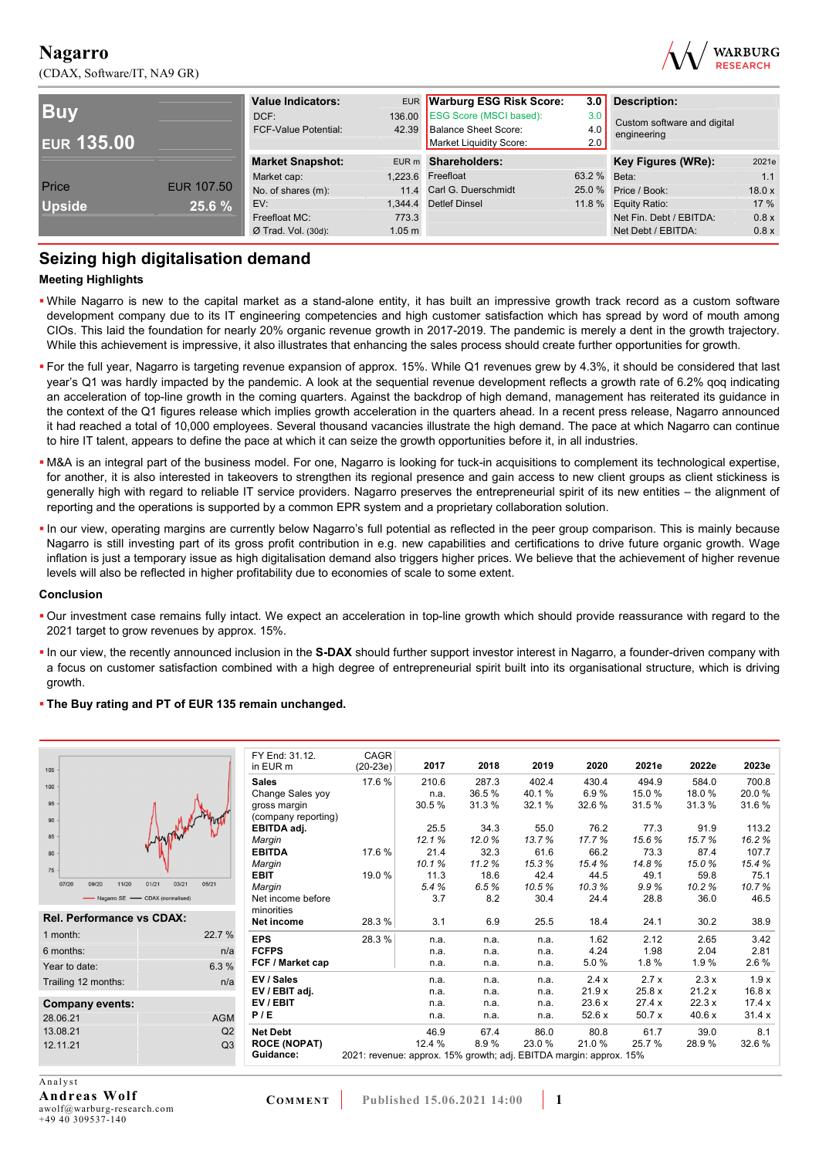(CDAX, Software/IT, NA9 GR)



|                   |                   | <b>Value Indicators:</b>    |                   | EUR Warburg ESG Risk Score:    | 3.0          | <b>Description:</b>         |        |
|-------------------|-------------------|-----------------------------|-------------------|--------------------------------|--------------|-----------------------------|--------|
| <b>Buv</b>        |                   | DCF:                        | 136.00            | <b>ESG Score (MSCI based):</b> | 3.0          | Custom software and digital |        |
|                   |                   | <b>FCF-Value Potential:</b> |                   | 42.39 Balance Sheet Score:     | 4.0          | engineering                 |        |
| <b>EUR 135.00</b> |                   |                             |                   | Market Liquidity Score:        | 2.0          |                             |        |
|                   |                   | <b>Market Snapshot:</b>     |                   | EUR m Shareholders:            |              | Key Figures (WRe):          | 2021e  |
|                   |                   | Market cap:                 |                   | 1,223.6 Freefloat              | 63.2 % Beta: |                             | 1.1    |
| Price             | <b>EUR 107.50</b> | No. of shares (m):          |                   | 11.4 Carl G. Duerschmidt       |              | 25.0 % Price / Book:        | 18.0 x |
| <b>Upside</b>     | 25.6 %            | EV:                         |                   | 1.344.4 Detlef Dinsel          |              | 11.8 % Equity Ratio:        | 17 %   |
|                   |                   | Freefloat MC:               | 773.3             |                                |              | Net Fin. Debt / EBITDA:     | 0.8 x  |
|                   |                   | $Ø$ Trad. Vol. (30d):       | 1.05 <sub>m</sub> |                                |              | Net Debt / EBITDA:          | 0.8 x  |

## **Seizing high digitalisation demand**

#### **Meeting Highlights**

- While Nagarro is new to the capital market as a stand-alone entity, it has built an impressive growth track record as a custom software development company due to its IT engineering competencies and high customer satisfaction which has spread by word of mouth among CIOs. This laid the foundation for nearly 20% organic revenue growth in 2017-2019. The pandemic is merely a dent in the growth trajectory. While this achievement is impressive, it also illustrates that enhancing the sales process should create further opportunities for growth.
- For the full year, Nagarro is targeting revenue expansion of approx. 15%. While Q1 revenues grew by 4.3%, it should be considered that last year's Q1 was hardly impacted by the pandemic. A look at the sequential revenue development reflects a growth rate of 6.2% qoq indicating an acceleration of top-line growth in the coming quarters. Against the backdrop of high demand, management has reiterated its guidance in the context of the Q1 figures release which implies growth acceleration in the quarters ahead. In a recent press release, Nagarro announced it had reached a total of 10,000 employees. Several thousand vacancies illustrate the high demand. The pace at which Nagarro can continue to hire IT talent, appears to define the pace at which it can seize the growth opportunities before it, in all industries.
- M&A is an integral part of the business model. For one, Nagarro is looking for tuck-in acquisitions to complement its technological expertise, for another, it is also interested in takeovers to strengthen its regional presence and gain access to new client groups as client stickiness is generally high with regard to reliable IT service providers. Nagarro preserves the entrepreneurial spirit of its new entities – the alignment of reporting and the operations is supported by a common EPR system and a proprietary collaboration solution.
- In our view, operating margins are currently below Nagarro's full potential as reflected in the peer group comparison. This is mainly because Nagarro is still investing part of its gross profit contribution in e.g. new capabilities and certifications to drive future organic growth. Wage inflation is just a temporary issue as high digitalisation demand also triggers higher prices. We believe that the achievement of higher revenue levels will also be reflected in higher profitability due to economies of scale to some extent.

#### **Conclusion**

- Our investment case remains fully intact. We expect an acceleration in top-line growth which should provide reassurance with regard to the 2021 target to grow revenues by approx. 15%.
- In our view, the recently announced inclusion in the **S-DAX** should further support investor interest in Nagarro, a founder-driven company with a focus on customer satisfaction combined with a high degree of entrepreneurial spirit built into its organisational structure, which is driving growth.

#### **The Buy rating and PT of EUR 135 remain unchanged.**

|                                  |                         | FY End: 31.12.      | CAGR                                                               |        |       |       |       |       |       |       |
|----------------------------------|-------------------------|---------------------|--------------------------------------------------------------------|--------|-------|-------|-------|-------|-------|-------|
| 105                              |                         | in EUR m            | $(20-23e)$                                                         | 2017   | 2018  | 2019  | 2020  | 2021e | 2022e | 2023e |
| 100                              |                         | <b>Sales</b>        | 17.6 %                                                             | 210.6  | 287.3 | 402.4 | 430.4 | 494.9 | 584.0 | 700.8 |
|                                  |                         | Change Sales yoy    |                                                                    | n.a.   | 36.5% | 40.1% | 6.9%  | 15.0% | 18.0% | 20.0% |
| 95                               |                         | gross margin        |                                                                    | 30.5%  | 31.3% | 32.1% | 32.6% | 31.5% | 31.3% | 31.6% |
| 90                               |                         | (company reporting) |                                                                    |        |       |       |       |       |       |       |
|                                  |                         | EBITDA adj.         |                                                                    | 25.5   | 34.3  | 55.0  | 76.2  | 77.3  | 91.9  | 113.2 |
| 85                               |                         | Margin              |                                                                    | 12.1%  | 12.0% | 13.7% | 17.7% | 15.6% | 15.7% | 16.2% |
| 80                               |                         | <b>EBITDA</b>       | 17.6 %                                                             | 21.4   | 32.3  | 61.6  | 66.2  | 73.3  | 87.4  | 107.7 |
| $75 -$                           |                         | Margin              |                                                                    | 10.1%  | 11.2% | 15.3% | 15.4% | 14.8% | 15.0% | 15.4% |
|                                  |                         | <b>EBIT</b>         | 19.0 %                                                             | 11.3   | 18.6  | 42.4  | 44.5  | 49.1  | 59.8  | 75.1  |
| 07/20<br>11/20<br>09/20          | 01/21<br>03/21<br>05/21 | Margin              |                                                                    | 5.4%   | 6.5%  | 10.5% | 10.3% | 9.9%  | 10.2% | 10.7% |
| - Nagarro SE - CDAX (normalised) |                         | Net income before   |                                                                    | 3.7    | 8.2   | 30.4  | 24.4  | 28.8  | 36.0  | 46.5  |
| <b>Rel. Performance vs CDAX:</b> |                         | minorities          |                                                                    |        |       |       |       |       |       |       |
|                                  |                         | Net income          | 28.3 %                                                             | 3.1    | 6.9   | 25.5  | 18.4  | 24.1  | 30.2  | 38.9  |
| 1 month:                         | 22.7 %                  | <b>EPS</b>          | 28.3 %                                                             | n.a.   | n.a.  | n.a.  | 1.62  | 2.12  | 2.65  | 3.42  |
| 6 months:                        | n/a                     | <b>FCFPS</b>        |                                                                    | n.a.   | n.a.  | n.a.  | 4.24  | 1.98  | 2.04  | 2.81  |
| Year to date:                    | 6.3%                    | FCF / Market cap    |                                                                    | n.a.   | n.a.  | n.a.  | 5.0%  | 1.8%  | 1.9%  | 2.6 % |
| Trailing 12 months:              | n/a                     | EV / Sales          |                                                                    | n.a.   | n.a.  | n.a.  | 2.4x  | 2.7x  | 2.3x  | 1.9x  |
|                                  |                         | EV / EBIT adj.      |                                                                    | n.a.   | n.a.  | n.a.  | 21.9x | 25.8x | 21.2x | 16.8x |
| <b>Company events:</b>           |                         | EV / EBIT           |                                                                    | n.a.   | n.a.  | n.a.  | 23.6x | 27.4x | 22.3x | 17.4x |
| 28.06.21                         | <b>AGM</b>              | P/E                 |                                                                    | n.a.   | n.a.  | n.a.  | 52.6x | 50.7x | 40.6x | 31.4x |
| 13.08.21                         | Q2                      | <b>Net Debt</b>     |                                                                    | 46.9   | 67.4  | 86.0  | 80.8  | 61.7  | 39.0  | 8.1   |
| 12.11.21                         | Q3                      | <b>ROCE (NOPAT)</b> |                                                                    | 12.4 % | 8.9%  | 23.0% | 21.0% | 25.7% | 28.9% | 32.6% |
|                                  |                         | Guidance:           | 2021: revenue: approx. 15% growth; adj. EBITDA margin: approx. 15% |        |       |       |       |       |       |       |
|                                  |                         |                     |                                                                    |        |       |       |       |       |       |       |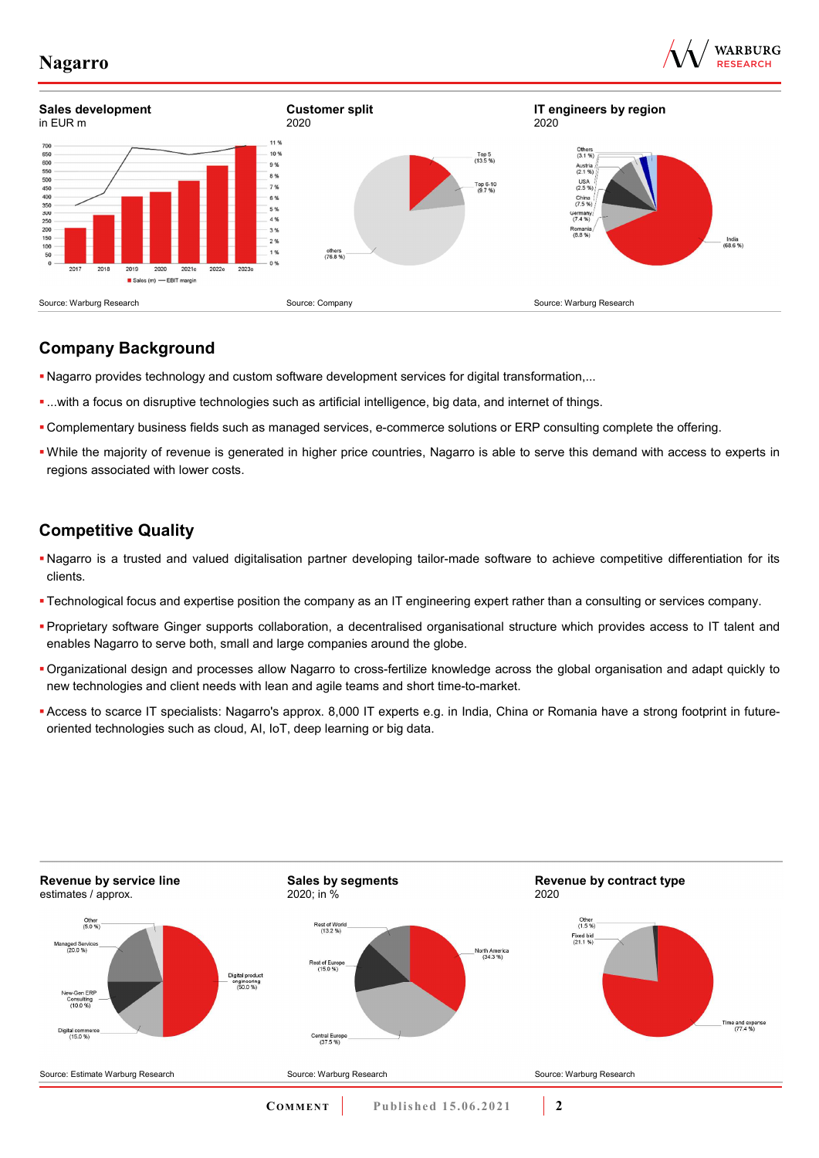





# **Company Background**

- Nagarro provides technology and custom software development services for digital transformation,...
- ...with a focus on disruptive technologies such as artificial intelligence, big data, and internet of things.
- Complementary business fields such as managed services, e-commerce solutions or ERP consulting complete the offering.
- While the majority of revenue is generated in higher price countries, Nagarro is able to serve this demand with access to experts in regions associated with lower costs.

# **Competitive Quality**

- Nagarro is a trusted and valued digitalisation partner developing tailor-made software to achieve competitive differentiation for its clients.
- Technological focus and expertise position the company as an IT engineering expert rather than a consulting or services company.
- Proprietary software Ginger supports collaboration, a decentralised organisational structure which provides access to IT talent and enables Nagarro to serve both, small and large companies around the globe.
- Organizational design and processes allow Nagarro to cross-fertilize knowledge across the global organisation and adapt quickly to new technologies and client needs with lean and agile teams and short time-to-market.
- Access to scarce IT specialists: Nagarro's approx. 8,000 IT experts e.g. in India, China or Romania have a strong footprint in futureoriented technologies such as cloud, AI, IoT, deep learning or big data.

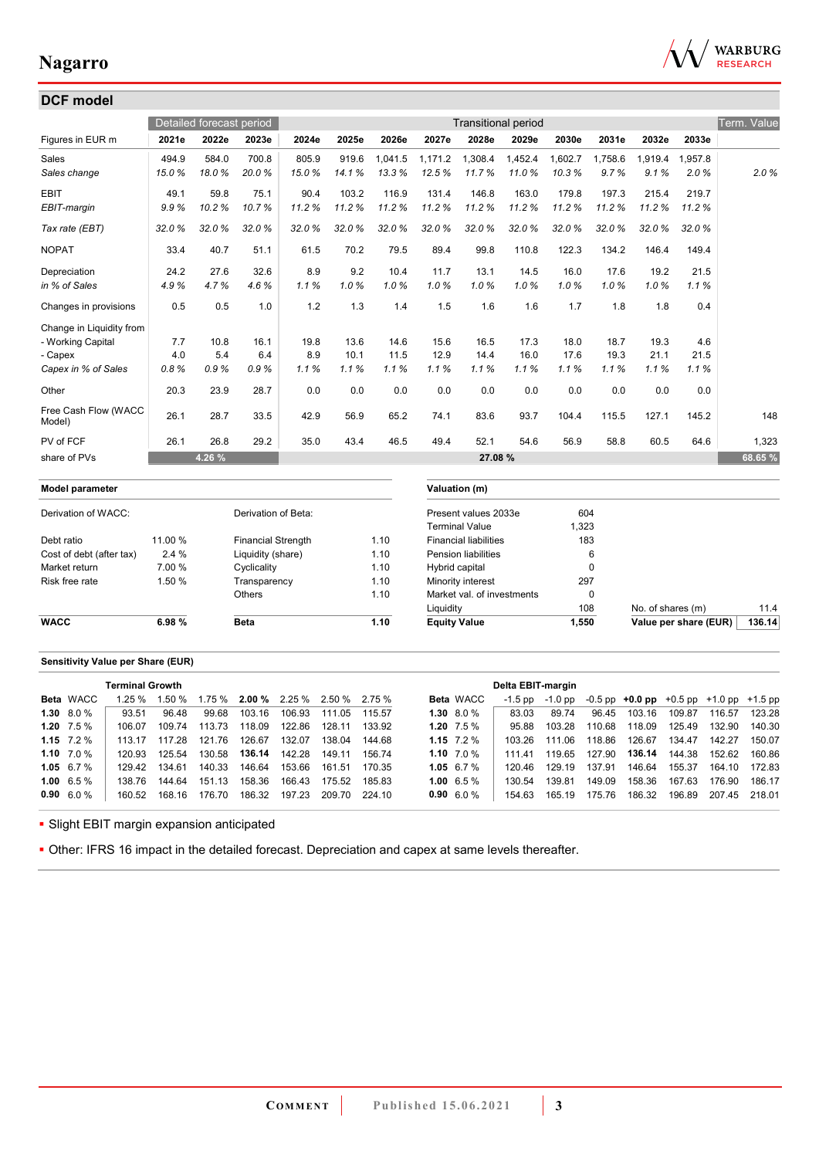

| <b>DCF</b> model               |         |                          |                           |       |       |                        |                   |                              |                            |         |             |                   |                       |             |
|--------------------------------|---------|--------------------------|---------------------------|-------|-------|------------------------|-------------------|------------------------------|----------------------------|---------|-------------|-------------------|-----------------------|-------------|
|                                |         | Detailed forecast period |                           |       |       |                        |                   |                              | <b>Transitional period</b> |         |             |                   |                       | Term. Value |
| Figures in EUR m               | 2021e   | 2022e                    | 2023e                     | 2024e | 2025e | 2026e                  | 2027e             | 2028e                        | 2029e                      | 2030e   | 2031e       | 2032e             | 2033e                 |             |
| Sales                          | 494.9   | 584.0                    | 700.8                     | 805.9 | 919.6 | 1.041.5                | 1.171.2           | 1.308.4                      | 1.452.4                    | 1,602.7 | 1.758.6     | 1.919.4           | 1.957.8               |             |
| Sales change                   | 15.0%   | 18.0%                    | 20.0%                     | 15.0% | 14.1% | 13.3%                  | 12.5%             | 11.7%                        | 11.0%                      | 10.3%   | 9.7%        | 9.1%              | 2.0%                  | 2.0%        |
| <b>EBIT</b>                    | 49.1    | 59.8                     | 75.1                      | 90.4  | 103.2 | 116.9                  | 131.4             | 146.8                        | 163.0                      | 179.8   | 197.3       | 215.4             | 219.7                 |             |
| EBIT-margin                    | 9.9%    | 10.2%                    | 10.7%                     | 11.2% | 11.2% | 11.2%                  | 11.2%             | 11.2%                        | 11.2%                      | 11.2%   | 11.2%       | 11.2%             | 11.2%                 |             |
| Tax rate (EBT)                 | 32.0%   | 32.0%                    | 32.0%                     | 32.0% | 32.0% | 32.0%                  | 32.0%             | 32.0%                        | 32.0%                      | 32.0%   | 32.0%       | 32.0%             | 32.0%                 |             |
| <b>NOPAT</b>                   | 33.4    | 40.7                     | 51.1                      | 61.5  | 70.2  | 79.5                   | 89.4              | 99.8                         | 110.8                      | 122.3   | 134.2       | 146.4             | 149.4                 |             |
| Depreciation                   | 24.2    | 27.6                     | 32.6                      | 8.9   | 9.2   | 10.4                   | 11.7              | 13.1                         | 14.5                       | 16.0    | 17.6        | 19.2              | 21.5                  |             |
| in % of Sales                  | 4.9%    | 4.7%                     | 4.6%                      | 1.1%  | 1.0%  | 1.0%                   | 1.0%              | 1.0%                         | 1.0%                       | 1.0%    | 1.0%        | 1.0%              | 1.1%                  |             |
| Changes in provisions          | 0.5     | 0.5                      | 1.0                       | 1.2   | 1.3   | 1.4                    | 1.5               | 1.6                          | 1.6                        | 1.7     | 1.8         | 1.8               | 0.4                   |             |
| Change in Liquidity from       |         |                          |                           |       |       |                        |                   |                              |                            |         |             |                   |                       |             |
| - Working Capital              | 7.7     | 10.8                     | 16.1                      | 19.8  | 13.6  | 14.6                   | 15.6              | 16.5                         | 17.3                       | 18.0    | 18.7        | 19.3              | 4.6                   |             |
| - Capex                        | 4.0     | 5.4                      | 6.4                       | 8.9   | 10.1  | 11.5                   | 12.9              | 14.4                         | 16.0                       | 17.6    | 19.3        | 21.1              | 21.5                  |             |
| Capex in % of Sales            | 0.8%    | 0.9%                     | 0.9%                      | 1.1%  | 1.1%  | 1.1%                   | 1.1%              | 1.1%                         | 1.1%                       | 1.1%    | 1.1%        | 1.1%              | 1.1%                  |             |
| Other                          | 20.3    | 23.9                     | 28.7                      | 0.0   | 0.0   | 0.0                    | 0.0               | 0.0                          | 0.0                        | 0.0     | 0.0         | 0.0               | 0.0                   |             |
| Free Cash Flow (WACC<br>Model) | 26.1    | 28.7                     | 33.5                      | 42.9  | 56.9  | 65.2                   | 74.1              | 83.6                         | 93.7                       | 104.4   | 115.5       | 127.1             | 145.2                 | 148         |
| PV of FCF                      | 26.1    | 26.8                     | 29.2                      | 35.0  | 43.4  | 46.5                   | 49.4              | 52.1                         | 54.6                       | 56.9    | 58.8        | 60.5              | 64.6                  | 1,323       |
| share of PVs                   |         | 4.26 %                   |                           |       |       |                        |                   | 27.08%                       |                            |         |             |                   |                       | 68.65 %     |
| <b>Model parameter</b>         |         |                          |                           |       |       |                        |                   | Valuation (m)                |                            |         |             |                   |                       |             |
| Derivation of WACC:            |         |                          | Derivation of Beta:       |       |       |                        |                   | Present values 2033e         |                            | 604     |             |                   |                       |             |
|                                |         |                          |                           |       |       |                        |                   | <b>Terminal Value</b>        |                            | 1,323   |             |                   |                       |             |
| Debt ratio                     | 11.00 % |                          | <b>Financial Strength</b> |       |       | 1.10                   |                   | <b>Financial liabilities</b> |                            |         | 183         |                   |                       |             |
| Cost of debt (after tax)       | 2.4 %   |                          | Liquidity (share)         |       |       | 1.10                   |                   | <b>Pension liabilities</b>   |                            |         | 6           |                   |                       |             |
| Market return                  | 7.00 %  |                          | Cyclicality               |       |       | 1.10<br>Hybrid capital |                   |                              | $\pmb{0}$                  |         |             |                   |                       |             |
| Risk free rate                 | 1.50 %  |                          | Transparency              |       |       | 1.10                   | Minority interest |                              |                            | 297     |             |                   |                       |             |
|                                |         |                          | <b>Others</b>             |       |       | 1.10                   |                   | Market val. of investments   |                            |         | $\mathbf 0$ |                   |                       |             |
|                                |         |                          |                           |       |       |                        | Liquidity         |                              |                            |         | 108         | No. of shares (m) |                       | 11.4        |
| <b>WACC</b>                    | 6.98%   |                          | <b>Beta</b>               |       |       | 1.10                   |                   | <b>Equity Value</b>          |                            | 1,550   |             |                   | Value per share (EUR) | 136.14      |

### **Sensitivity Value per Share (EUR)**

|                   | <b>Terminal Growth</b> |        |        |        |                                      |        |        |                  | Delta EBIT-margin |         |        |                                                   |        |        |        |
|-------------------|------------------------|--------|--------|--------|--------------------------------------|--------|--------|------------------|-------------------|---------|--------|---------------------------------------------------|--------|--------|--------|
| <b>Beta</b> WACC  | 1.25%                  | 1.50 % |        |        | $1.75\%$ 2.00 % 2.25 % 2.50 % 2.75 % |        |        | <b>Beta</b> WACC | $-1.5$ pp         | -1.0 pp |        | $-0.5$ pp $+0.0$ pp $+0.5$ pp $+1.0$ pp $+1.5$ pp |        |        |        |
| 1.30 $8.0\%$      | 93.51                  | 96.48  | 99.68  | 103.16 | 106.93                               | 111.05 | 115.57 | $1.30\ 8.0\%$    | 83.03             | 89.74   | 96.45  | 103.16                                            | 109.87 | 116.57 | 123.28 |
| 1.20 $7.5\%$      | 106.07                 | 109.74 | 113.73 | 118.09 | 122.86                               | 128.11 | 133.92 | 1.20 $7.5\%$     | 95.88             | 103.28  | 110.68 | 118.09                                            | 125.49 | 132.90 | 140.30 |
| 1.15 $7.2\%$      | 113 17                 | 117 28 | 121.76 | 126.67 | 132.07                               | 138.04 | 144 68 | 1.15 $7.2\%$     | 103.26            | 111.06  | 118.86 | 126.67                                            | 134.47 | 142 27 | 150.07 |
| 1.10 $7.0\%$      | 120.93                 | 125 54 | 130.58 | 136.14 | 142.28                               | 149.11 | 156 74 | 1.10 $7.0\%$     | 111 41            | 119.65  | 127.90 | 136.14                                            | 144.38 | 152.62 | 160.86 |
| 1.05 $6.7%$       | 129.42                 | 134.61 | 140.33 | 146.64 | 153.66                               | 161.51 | 170 35 | 1.05 6.7 $%$     | 120.46            | 129.19  | 137.91 | 146.64                                            | 155.37 | 164.10 | 172.83 |
| 1.00 $6.5\%$      | 138 76                 | 144.64 | 151.13 | 158.36 | 166.43                               | 175.52 | 185.83 | 1.00 6.5 %       | 130.54            | 139.81  | 149.09 | 158.36                                            | 167.63 | 176.90 | 186.17 |
| $0.90\quad 6.0\%$ | 160.52                 | 168.16 | 176.70 | 186.32 | 197.23                               | 209.70 | 224.10 | $0.90\ 6.0\ \%$  | 154.63            | 165.19  | 175.76 | 186.32                                            | 196.89 | 207.45 | 218.01 |
|                   |                        |        |        |        |                                      |        |        |                  |                   |         |        |                                                   |        |        |        |

**- Slight EBIT margin expansion anticipated** 

Other: IFRS 16 impact in the detailed forecast. Depreciation and capex at same levels thereafter.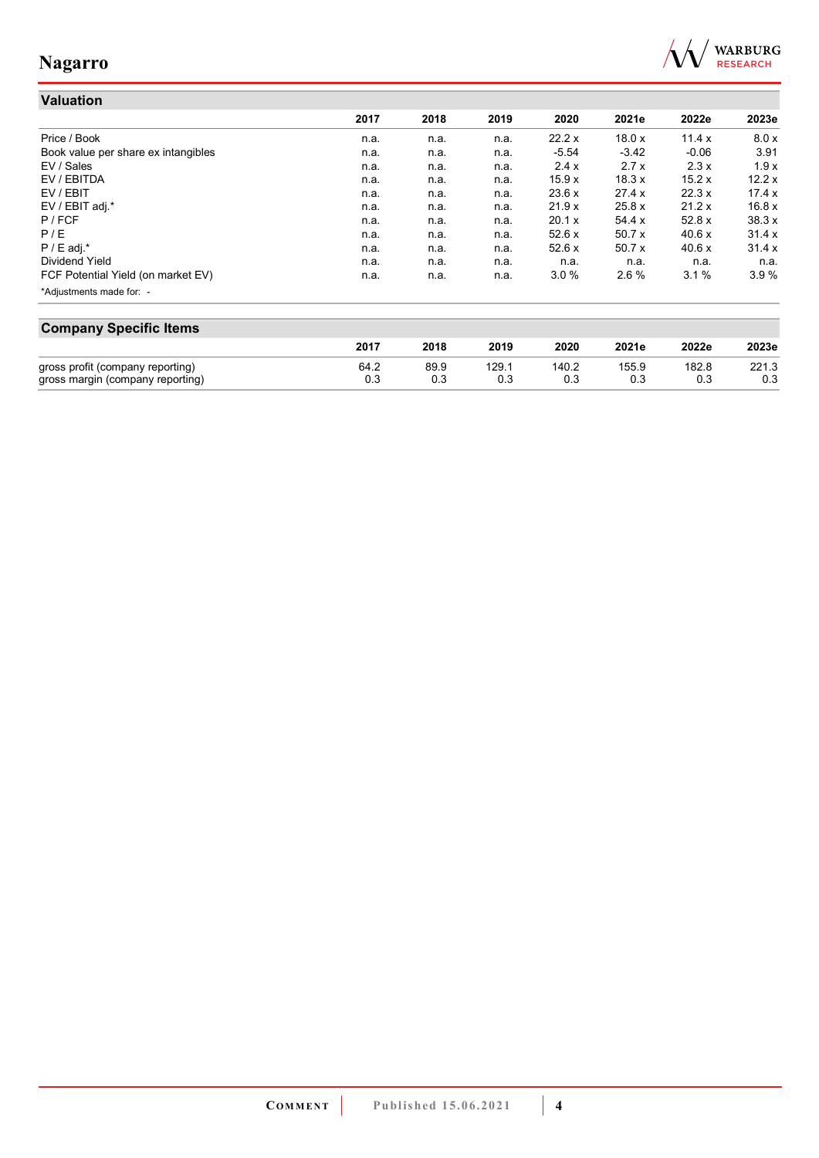

#### **Valuation 2017 2018 2019 2020 2021e 2022e 2023e** Price / Book n.a. n.a. n.a. 22.2 x 18.0 x 11.4 x 8.0 x Book value per share ex intangibles **n.a.** n.a. n.a. n.a. n.a. n.a. 3.42 -0.06 3.91 EV / Sales n.a. n.a. n.a. 2.4 x 2.7 x 2.3 x 1.9 x EV / EBITDA n.a. n.a. n.a. 15.9 x 18.3 x 15.2 x 12.2 x EV / EBIT n.a. n.a. n.a. 23.6 x 27.4 x 22.3 x 17.4 x EV / EBIT adj.\* n.a. n.a. n.a. 21.9 x 25.8 x 21.2 x 16.8 x P / FCF n.a. n.a. n.a. 20.1 x 54.4 x 52.8 x 38.3 x P / E n.a. n.a. n.a. 52.6 x 50.7 x 40.6 x 31.4 x P / E adj.\* n.a. n.a. n.a. 52.6 x 50.7 x 40.6 x 31.4 x Dividend Yield n.a. n.a. n.a. n.a. n.a. n.a. n.a. FCF Potential Yield (on market EV) **n.a.** n.a. n.a. n.a. 3.0 % 2.6 % 3.1 % 3.9 % \*Adjustments made for: -

| <b>Company Specific Items</b>    |      |      |       |       |       |       |       |  |
|----------------------------------|------|------|-------|-------|-------|-------|-------|--|
|                                  | 2017 | 2018 | 2019  | 2020  | 2021e | 2022e | 2023e |  |
| gross profit (company reporting) | 64.2 | 89.9 | 129.1 | 140.2 | 155.9 | 182.8 | 221.3 |  |
| gross margin (company reporting) | 0.3  | 0.3  | 0.3   | 0.3   | 0.3   | 0.3   | 0.3   |  |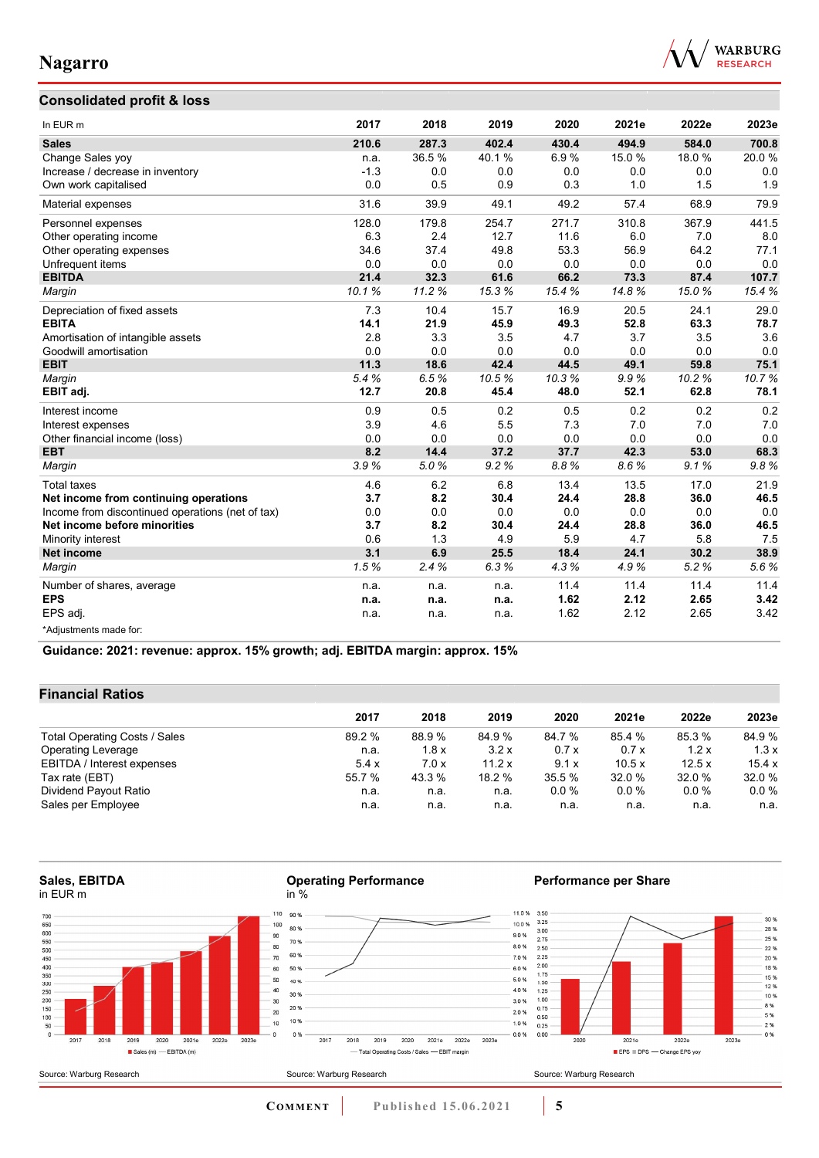### **Consolidated profit & loss**



30 %

 $28%$   $25%$   $22%$   $20%$   $18%$   $15%$   $12%$ 

 $12.78$ <br> $8\%$ <br> $8\%$ <br> $5\%$ 

 $2%$ <br> $0%$ 

 $20236$ 

| In EUR <sub>m</sub>                              | 2017   | 2018  | 2019  | 2020  | 2021e | 2022e | 2023e |
|--------------------------------------------------|--------|-------|-------|-------|-------|-------|-------|
| <b>Sales</b>                                     | 210.6  | 287.3 | 402.4 | 430.4 | 494.9 | 584.0 | 700.8 |
| Change Sales yoy                                 | n.a.   | 36.5% | 40.1% | 6.9%  | 15.0% | 18.0% | 20.0% |
| Increase / decrease in inventory                 | $-1.3$ | 0.0   | 0.0   | 0.0   | 0.0   | 0.0   | 0.0   |
| Own work capitalised                             | 0.0    | 0.5   | 0.9   | 0.3   | 1.0   | 1.5   | 1.9   |
| Material expenses                                | 31.6   | 39.9  | 49.1  | 49.2  | 57.4  | 68.9  | 79.9  |
| Personnel expenses                               | 128.0  | 179.8 | 254.7 | 271.7 | 310.8 | 367.9 | 441.5 |
| Other operating income                           | 6.3    | 2.4   | 12.7  | 11.6  | 6.0   | 7.0   | 8.0   |
| Other operating expenses                         | 34.6   | 37.4  | 49.8  | 53.3  | 56.9  | 64.2  | 77.1  |
| Unfrequent items                                 | 0.0    | 0.0   | 0.0   | 0.0   | 0.0   | 0.0   | 0.0   |
| <b>EBITDA</b>                                    | 21.4   | 32.3  | 61.6  | 66.2  | 73.3  | 87.4  | 107.7 |
| Margin                                           | 10.1%  | 11.2% | 15.3% | 15.4% | 14.8% | 15.0% | 15.4% |
| Depreciation of fixed assets                     | 7.3    | 10.4  | 15.7  | 16.9  | 20.5  | 24.1  | 29.0  |
| <b>EBITA</b>                                     | 14.1   | 21.9  | 45.9  | 49.3  | 52.8  | 63.3  | 78.7  |
| Amortisation of intangible assets                | 2.8    | 3.3   | 3.5   | 4.7   | 3.7   | 3.5   | 3.6   |
| Goodwill amortisation                            | 0.0    | 0.0   | 0.0   | 0.0   | 0.0   | 0.0   | 0.0   |
| <b>EBIT</b>                                      | 11.3   | 18.6  | 42.4  | 44.5  | 49.1  | 59.8  | 75.1  |
| Margin                                           | 5.4%   | 6.5%  | 10.5% | 10.3% | 9.9%  | 10.2% | 10.7% |
| EBIT adj.                                        | 12.7   | 20.8  | 45.4  | 48.0  | 52.1  | 62.8  | 78.1  |
| Interest income                                  | 0.9    | 0.5   | 0.2   | 0.5   | 0.2   | 0.2   | 0.2   |
| Interest expenses                                | 3.9    | 4.6   | 5.5   | 7.3   | 7.0   | 7.0   | 7.0   |
| Other financial income (loss)                    | 0.0    | 0.0   | 0.0   | 0.0   | 0.0   | 0.0   | 0.0   |
| <b>EBT</b>                                       | 8.2    | 14.4  | 37.2  | 37.7  | 42.3  | 53.0  | 68.3  |
| Margin                                           | 3.9%   | 5.0%  | 9.2%  | 8.8%  | 8.6%  | 9.1%  | 9.8%  |
| <b>Total taxes</b>                               | 4.6    | 6.2   | 6.8   | 13.4  | 13.5  | 17.0  | 21.9  |
| Net income from continuing operations            | 3.7    | 8.2   | 30.4  | 24.4  | 28.8  | 36.0  | 46.5  |
| Income from discontinued operations (net of tax) | 0.0    | 0.0   | 0.0   | 0.0   | 0.0   | 0.0   | 0.0   |
| Net income before minorities                     | 3.7    | 8.2   | 30.4  | 24.4  | 28.8  | 36.0  | 46.5  |
| Minority interest                                | 0.6    | 1.3   | 4.9   | 5.9   | 4.7   | 5.8   | 7.5   |
| <b>Net income</b>                                | 3.1    | 6.9   | 25.5  | 18.4  | 24.1  | 30.2  | 38.9  |
| Margin                                           | 1.5%   | 2.4%  | 6.3%  | 4.3%  | 4.9%  | 5.2%  | 5.6%  |
| Number of shares, average                        | n.a.   | n.a.  | n.a.  | 11.4  | 11.4  | 11.4  | 11.4  |
| <b>EPS</b>                                       | n.a.   | n.a.  | n.a.  | 1.62  | 2.12  | 2.65  | 3.42  |
| EPS adj.                                         | n.a.   | n.a.  | n.a.  | 1.62  | 2.12  | 2.65  | 3.42  |
| *Adjustments made for:                           |        |       |       |       |       |       |       |

**Guidance: 2021: revenue: approx. 15% growth; adj. EBITDA margin: approx. 15%**

### **Financial Ratios**

|                               | 2017   | 2018   | 2019   | 2020    | 2021e  | 2022e   | 2023e   |  |
|-------------------------------|--------|--------|--------|---------|--------|---------|---------|--|
| Total Operating Costs / Sales | 89.2 % | 88.9 % | 84.9 % | 84.7 %  | 85.4 % | 85.3 %  | 84.9%   |  |
| <b>Operating Leverage</b>     | n.a.   | 1.8x   | 3.2x   | 0.7x    | 0.7x   | 1.2x    | 1.3x    |  |
| EBITDA / Interest expenses    | 5.4x   | 7.0x   | 11.2 x | 9.1x    | 10.5x  | 12.5x   | 15.4 x  |  |
| Tax rate (EBT)                | 55.7 % | 43.3 % | 18.2 % | 35.5 %  | 32.0 % | 32.0 %  | 32.0 %  |  |
| Dividend Payout Ratio         | n.a.   | n.a.   | n.a.   | $0.0\%$ | 0.0%   | $0.0\%$ | $0.0\%$ |  |
| Sales per Employee            | n.a.   | n.a.   | n.a.   | n.a.    | n.a.   | n.a.    | n.a.    |  |

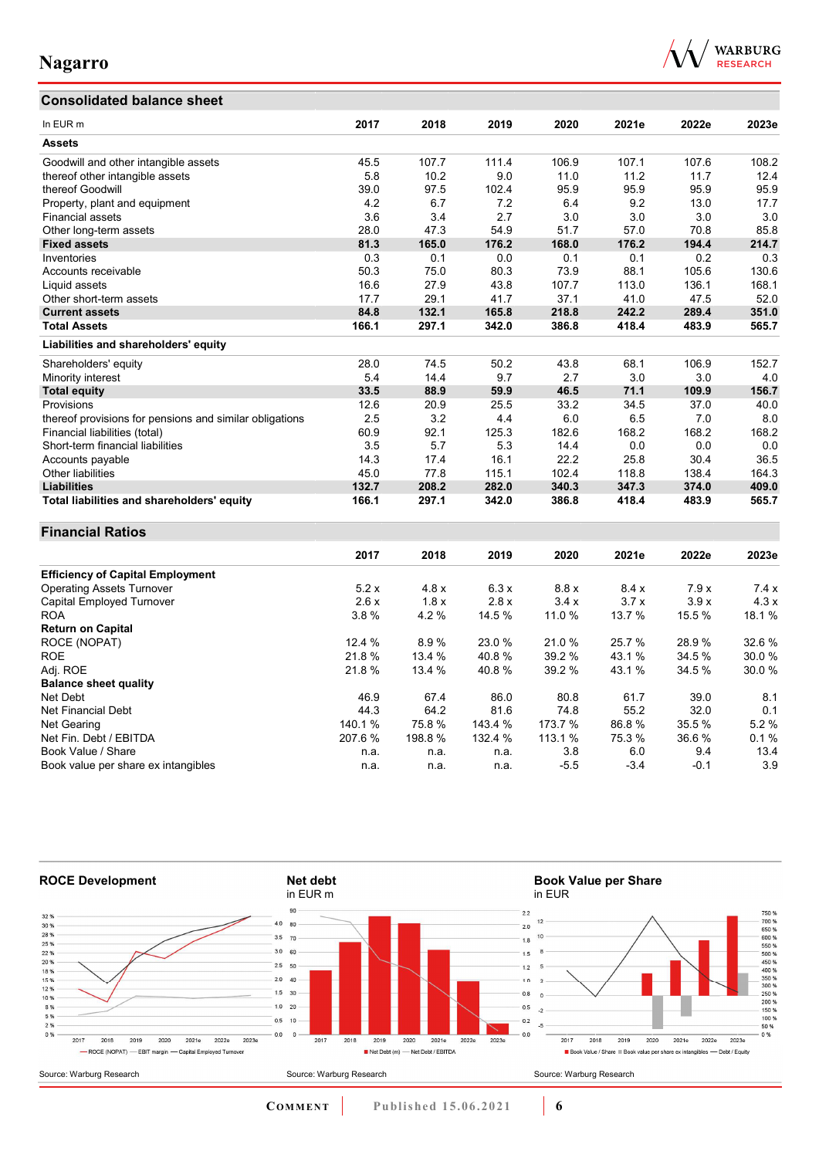# **Consolidated balance sheet**



| Consolidated Dalance Sheet                              |         |         |         |         |        |        |       |
|---------------------------------------------------------|---------|---------|---------|---------|--------|--------|-------|
| In EUR <sub>m</sub>                                     | 2017    | 2018    | 2019    | 2020    | 2021e  | 2022e  | 2023e |
| <b>Assets</b>                                           |         |         |         |         |        |        |       |
| Goodwill and other intangible assets                    | 45.5    | 107.7   | 111.4   | 106.9   | 107.1  | 107.6  | 108.2 |
| thereof other intangible assets                         | 5.8     | 10.2    | 9.0     | 11.0    | 11.2   | 11.7   | 12.4  |
| thereof Goodwill                                        | 39.0    | 97.5    | 102.4   | 95.9    | 95.9   | 95.9   | 95.9  |
| Property, plant and equipment                           | 4.2     | 6.7     | 7.2     | 6.4     | 9.2    | 13.0   | 17.7  |
| <b>Financial assets</b>                                 | 3.6     | 3.4     | 2.7     | 3.0     | 3.0    | 3.0    | 3.0   |
| Other long-term assets                                  | 28.0    | 47.3    | 54.9    | 51.7    | 57.0   | 70.8   | 85.8  |
| <b>Fixed assets</b>                                     | 81.3    | 165.0   | 176.2   | 168.0   | 176.2  | 194.4  | 214.7 |
| Inventories                                             | 0.3     | 0.1     | 0.0     | 0.1     | 0.1    | 0.2    | 0.3   |
| Accounts receivable                                     | 50.3    | 75.0    | 80.3    | 73.9    | 88.1   | 105.6  | 130.6 |
| Liquid assets                                           | 16.6    | 27.9    | 43.8    | 107.7   | 113.0  | 136.1  | 168.1 |
| Other short-term assets                                 | 17.7    | 29.1    | 41.7    | 37.1    | 41.0   | 47.5   | 52.0  |
| <b>Current assets</b>                                   | 84.8    | 132.1   | 165.8   | 218.8   | 242.2  | 289.4  | 351.0 |
| <b>Total Assets</b>                                     | 166.1   | 297.1   | 342.0   | 386.8   | 418.4  | 483.9  | 565.7 |
| Liabilities and shareholders' equity                    |         |         |         |         |        |        |       |
| Shareholders' equity                                    | 28.0    | 74.5    | 50.2    | 43.8    | 68.1   | 106.9  | 152.7 |
| Minority interest                                       | 5.4     | 14.4    | 9.7     | 2.7     | 3.0    | 3.0    | 4.0   |
| <b>Total equity</b>                                     | 33.5    | 88.9    | 59.9    | 46.5    | 71.1   | 109.9  | 156.7 |
| Provisions                                              | 12.6    | 20.9    | 25.5    | 33.2    | 34.5   | 37.0   | 40.0  |
| thereof provisions for pensions and similar obligations | 2.5     | 3.2     | 4.4     | 6.0     | 6.5    | 7.0    | 8.0   |
| Financial liabilities (total)                           | 60.9    | 92.1    | 125.3   | 182.6   | 168.2  | 168.2  | 168.2 |
| Short-term financial liabilities                        | 3.5     | 5.7     | 5.3     | 14.4    | 0.0    | 0.0    | 0.0   |
| Accounts payable                                        | 14.3    | 17.4    | 16.1    | 22.2    | 25.8   | 30.4   | 36.5  |
| <b>Other liabilities</b>                                | 45.0    | 77.8    | 115.1   | 102.4   | 118.8  | 138.4  | 164.3 |
| <b>Liabilities</b>                                      | 132.7   | 208.2   | 282.0   | 340.3   | 347.3  | 374.0  | 409.0 |
| Total liabilities and shareholders' equity              | 166.1   | 297.1   | 342.0   | 386.8   | 418.4  | 483.9  | 565.7 |
| <b>Financial Ratios</b>                                 |         |         |         |         |        |        |       |
|                                                         | 2017    | 2018    | 2019    | 2020    | 2021e  | 2022e  | 2023e |
| <b>Efficiency of Capital Employment</b>                 |         |         |         |         |        |        |       |
| <b>Operating Assets Turnover</b>                        | 5.2x    | 4.8x    | 6.3x    | 8.8x    | 8.4x   | 7.9x   | 7.4x  |
| Capital Employed Turnover                               | 2.6x    | 1.8x    | 2.8x    | 3.4x    | 3.7x   | 3.9x   | 4.3x  |
| <b>ROA</b>                                              | 3.8%    | 4.2%    | 14.5 %  | 11.0 %  | 13.7 % | 15.5%  | 18.1% |
| <b>Return on Capital</b>                                |         |         |         |         |        |        |       |
| ROCE (NOPAT)                                            | 12.4 %  | 8.9%    | 23.0 %  | 21.0%   | 25.7 % | 28.9%  | 32.6% |
| ROE                                                     | 21.8%   | 13.4 %  | 40.8%   | 39.2 %  | 43.1 % | 34.5%  | 30.0% |
| Adj. ROE                                                | 21.8%   | 13.4 %  | 40.8%   | 39.2 %  | 43.1 % | 34.5 % | 30.0% |
| <b>Balance sheet quality</b>                            |         |         |         |         |        |        |       |
| Net Debt                                                | 46.9    | 67.4    | 86.0    | 80.8    | 61.7   | 39.0   | 8.1   |
| <b>Net Financial Debt</b>                               | 44.3    | 64.2    | 81.6    | 74.8    | 55.2   | 32.0   | 0.1   |
| Net Gearing                                             | 140.1 % | 75.8%   | 143.4 % | 173.7 % | 86.8%  | 35.5 % | 5.2%  |
| Net Fin. Debt / EBITDA                                  | 207.6%  | 198.8 % | 132.4 % | 113.1 % | 75.3 % | 36.6%  | 0.1%  |
| Book Value / Share                                      | n.a.    | n.a.    | n.a.    | 3.8     | 6.0    | 9.4    | 13.4  |
| Book value per share ex intangibles                     | n.a.    | n.a.    | n.a.    | $-5.5$  | $-3.4$ | $-0.1$ | 3.9   |



**COMMENT** Published 15.06.2021 **6**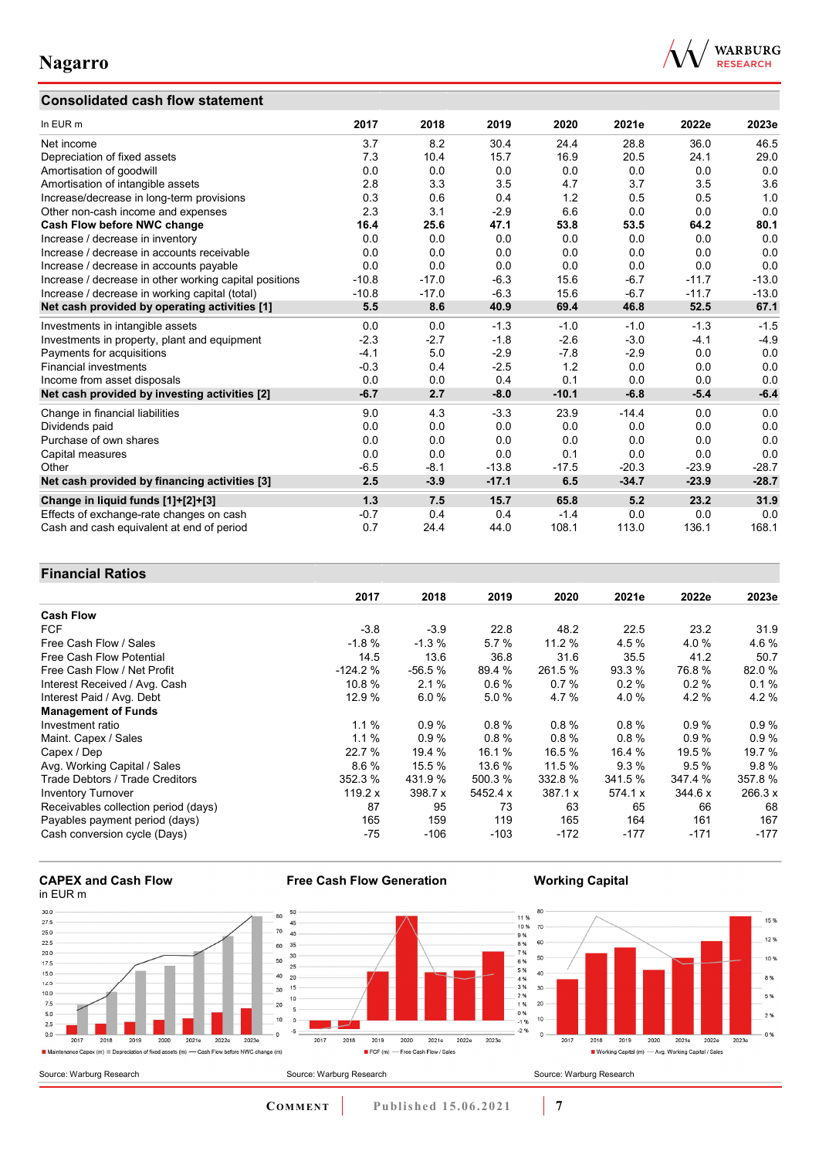## **Consolidated cash flow statement**



| In EUR m                                               | 2017    | 2018    | 2019    | 2020    | 2021e   | 2022e   | 2023e   |
|--------------------------------------------------------|---------|---------|---------|---------|---------|---------|---------|
| Net income                                             | 3.7     | 8.2     | 30.4    | 24.4    | 28.8    | 36.0    | 46.5    |
| Depreciation of fixed assets                           | 7.3     | 10.4    | 15.7    | 16.9    | 20.5    | 24.1    | 29.0    |
| Amortisation of goodwill                               | 0.0     | 0.0     | 0.0     | 0.0     | 0.0     | 0.0     | 0.0     |
| Amortisation of intangible assets                      | 2.8     | 3.3     | 3.5     | 4.7     | 3.7     | 3.5     | 3.6     |
| Increase/decrease in long-term provisions              | 0.3     | 0.6     | 0.4     | 1.2     | 0.5     | 0.5     | 1.0     |
| Other non-cash income and expenses                     | 2.3     | 3.1     | $-2.9$  | 6.6     | 0.0     | 0.0     | 0.0     |
| <b>Cash Flow before NWC change</b>                     | 16.4    | 25.6    | 47.1    | 53.8    | 53.5    | 64.2    | 80.1    |
| Increase / decrease in inventory                       | 0.0     | 0.0     | 0.0     | 0.0     | 0.0     | 0.0     | 0.0     |
| Increase / decrease in accounts receivable             | 0.0     | 0.0     | 0.0     | 0.0     | 0.0     | 0.0     | 0.0     |
| Increase / decrease in accounts payable                | 0.0     | 0.0     | 0.0     | 0.0     | 0.0     | 0.0     | 0.0     |
| Increase / decrease in other working capital positions | $-10.8$ | $-17.0$ | $-6.3$  | 15.6    | $-6.7$  | $-11.7$ | $-13.0$ |
| Increase / decrease in working capital (total)         | $-10.8$ | $-17.0$ | $-6.3$  | 15.6    | $-6.7$  | $-11.7$ | $-13.0$ |
| Net cash provided by operating activities [1]          | 5.5     | 8.6     | 40.9    | 69.4    | 46.8    | 52.5    | 67.1    |
| Investments in intangible assets                       | 0.0     | 0.0     | $-1.3$  | $-1.0$  | $-1.0$  | $-1.3$  | $-1.5$  |
| Investments in property, plant and equipment           | $-2.3$  | $-2.7$  | $-1.8$  | $-2.6$  | $-3.0$  | $-4.1$  | $-4.9$  |
| Payments for acquisitions                              | $-4.1$  | 5.0     | $-2.9$  | $-7.8$  | $-2.9$  | 0.0     | 0.0     |
| <b>Financial investments</b>                           | $-0.3$  | 0.4     | $-2.5$  | 1.2     | 0.0     | 0.0     | 0.0     |
| Income from asset disposals                            | 0.0     | 0.0     | 0.4     | 0.1     | 0.0     | 0.0     | 0.0     |
| Net cash provided by investing activities [2]          | $-6.7$  | 2.7     | $-8.0$  | $-10.1$ | $-6.8$  | $-5.4$  | $-6.4$  |
| Change in financial liabilities                        | 9.0     | 4.3     | $-3.3$  | 23.9    | $-14.4$ | 0.0     | 0.0     |
| Dividends paid                                         | 0.0     | 0.0     | 0.0     | 0.0     | 0.0     | 0.0     | 0.0     |
| Purchase of own shares                                 | 0.0     | 0.0     | 0.0     | 0.0     | 0.0     | 0.0     | 0.0     |
| Capital measures                                       | 0.0     | 0.0     | 0.0     | 0.1     | 0.0     | 0.0     | 0.0     |
| Other                                                  | $-6.5$  | $-8.1$  | $-13.8$ | $-17.5$ | $-20.3$ | $-23.9$ | $-28.7$ |
| Net cash provided by financing activities [3]          | 2.5     | $-3.9$  | $-17.1$ | 6.5     | $-34.7$ | $-23.9$ | $-28.7$ |
| Change in liquid funds [1]+[2]+[3]                     | 1.3     | 7.5     | 15.7    | 65.8    | 5.2     | 23.2    | 31.9    |
| Effects of exchange-rate changes on cash               | $-0.7$  | 0.4     | 0.4     | $-1.4$  | 0.0     | 0.0     | 0.0     |
| Cash and cash equivalent at end of period              | 0.7     | 24.4    | 44.0    | 108.1   | 113.0   | 136.1   | 168.1   |

### **Financial Ratios**

|                                      | 2017      | 2018     | 2019     | 2020    | 2021e    | 2022e   | 2023e   |
|--------------------------------------|-----------|----------|----------|---------|----------|---------|---------|
| <b>Cash Flow</b>                     |           |          |          |         |          |         |         |
| <b>FCF</b>                           | $-3.8$    | $-3.9$   | 22.8     | 48.2    | 22.5     | 23.2    | 31.9    |
| Free Cash Flow / Sales               | $-1.8%$   | $-1.3%$  | 5.7%     | 11.2%   | 4.5 %    | 4.0%    | 4.6%    |
| Free Cash Flow Potential             | 14.5      | 13.6     | 36.8     | 31.6    | 35.5     | 41.2    | 50.7    |
| Free Cash Flow / Net Profit          | $-124.2%$ | $-56.5%$ | 89.4 %   | 261.5 % | 93.3 %   | 76.8%   | 82.0%   |
| Interest Received / Avg. Cash        | 10.8 %    | 2.1%     | 0.6%     | 0.7%    | 0.2%     | 0.2%    | 0.1%    |
| Interest Paid / Avg. Debt            | 12.9 %    | 6.0%     | 5.0%     | 4.7 %   | 4.0%     | 4.2%    | 4.2%    |
| <b>Management of Funds</b>           |           |          |          |         |          |         |         |
| Investment ratio                     | 1.1%      | 0.9%     | 0.8%     | 0.8%    | $0.8 \%$ | 0.9%    | 0.9%    |
| Maint. Capex / Sales                 | 1.1%      | 0.9%     | $0.8 \%$ | 0.8%    | 0.8%     | 0.9%    | 0.9%    |
| Capex / Dep                          | 22.7 %    | 19.4 %   | 16.1 %   | 16.5 %  | 16.4 %   | 19.5 %  | 19.7 %  |
| Avg. Working Capital / Sales         | 8.6%      | 15.5 %   | 13.6 %   | 11.5%   | $9.3\%$  | 9.5%    | 9.8%    |
| Trade Debtors / Trade Creditors      | 352.3 %   | 431.9 %  | 500.3 %  | 332.8 % | 341.5 %  | 347.4 % | 357.8%  |
| <b>Inventory Turnover</b>            | 119.2 x   | 398.7 x  | 5452.4 x | 387.1 x | 574.1 x  | 344.6 x | 266.3 x |
| Receivables collection period (days) | 87        | 95       | 73       | 63      | 65       | 66      | 68      |
| Payables payment period (days)       | 165       | 159      | 119      | 165     | 164      | 161     | 167     |
| Cash conversion cycle (Days)         | -75       | -106     | $-103$   | $-172$  | $-177$   | $-171$  | $-177$  |

#### **CAPEX and Cash Flow**  in EUR m



**Free Cash Flow Generation** 

**COMMENT** Published 15.06.2021 **7** 

**Working Capital**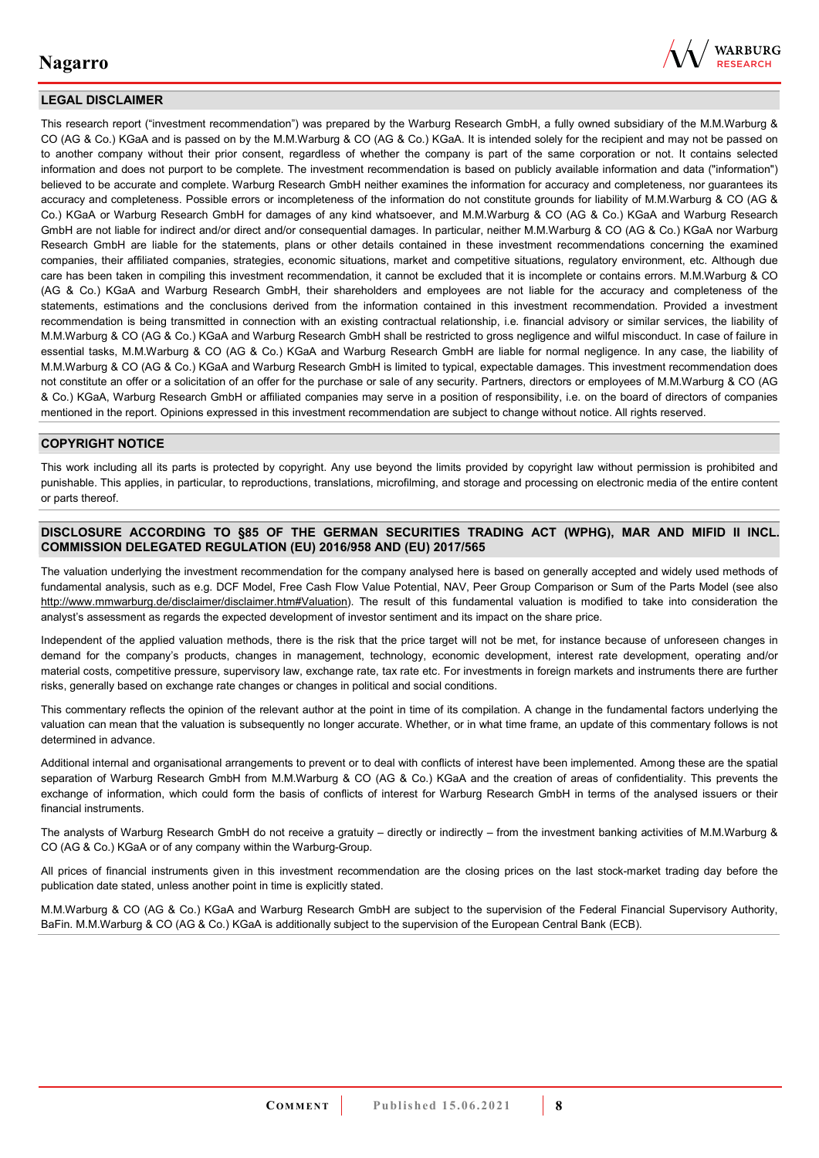

### **LEGAL DISCLAIMER**

This research report ("investment recommendation") was prepared by the Warburg Research GmbH, a fully owned subsidiary of the M.M.Warburg & CO (AG & Co.) KGaA and is passed on by the M.M.Warburg & CO (AG & Co.) KGaA. It is intended solely for the recipient and may not be passed on to another company without their prior consent, regardless of whether the company is part of the same corporation or not. It contains selected information and does not purport to be complete. The investment recommendation is based on publicly available information and data ("information") believed to be accurate and complete. Warburg Research GmbH neither examines the information for accuracy and completeness, nor guarantees its accuracy and completeness. Possible errors or incompleteness of the information do not constitute grounds for liability of M.M.Warburg & CO (AG & Co.) KGaA or Warburg Research GmbH for damages of any kind whatsoever, and M.M.Warburg & CO (AG & Co.) KGaA and Warburg Research GmbH are not liable for indirect and/or direct and/or consequential damages. In particular, neither M.M.Warburg & CO (AG & Co.) KGaA nor Warburg Research GmbH are liable for the statements, plans or other details contained in these investment recommendations concerning the examined companies, their affiliated companies, strategies, economic situations, market and competitive situations, regulatory environment, etc. Although due care has been taken in compiling this investment recommendation, it cannot be excluded that it is incomplete or contains errors. M.M.Warburg & CO (AG & Co.) KGaA and Warburg Research GmbH, their shareholders and employees are not liable for the accuracy and completeness of the statements, estimations and the conclusions derived from the information contained in this investment recommendation. Provided a investment recommendation is being transmitted in connection with an existing contractual relationship, i.e. financial advisory or similar services, the liability of M.M.Warburg & CO (AG & Co.) KGaA and Warburg Research GmbH shall be restricted to gross negligence and wilful misconduct. In case of failure in essential tasks, M.M.Warburg & CO (AG & Co.) KGaA and Warburg Research GmbH are liable for normal negligence. In any case, the liability of M.M.Warburg & CO (AG & Co.) KGaA and Warburg Research GmbH is limited to typical, expectable damages. This investment recommendation does not constitute an offer or a solicitation of an offer for the purchase or sale of any security. Partners, directors or employees of M.M.Warburg & CO (AG & Co.) KGaA, Warburg Research GmbH or affiliated companies may serve in a position of responsibility, i.e. on the board of directors of companies mentioned in the report. Opinions expressed in this investment recommendation are subject to change without notice. All rights reserved.

#### **COPYRIGHT NOTICE**

This work including all its parts is protected by copyright. Any use beyond the limits provided by copyright law without permission is prohibited and punishable. This applies, in particular, to reproductions, translations, microfilming, and storage and processing on electronic media of the entire content or parts thereof.

#### **DISCLOSURE ACCORDING TO §85 OF THE GERMAN SECURITIES TRADING ACT (WPHG), MAR AND MIFID II INCL. COMMISSION DELEGATED REGULATION (EU) 2016/958 AND (EU) 2017/565**

The valuation underlying the investment recommendation for the company analysed here is based on generally accepted and widely used methods of fundamental analysis, such as e.g. DCF Model, Free Cash Flow Value Potential, NAV, Peer Group Comparison or Sum of the Parts Model (see also [http://www.mmwarburg.de/disclaimer/disclaimer.htm#Valuation\)](http://www.mmwarburg.de/disclaimer/disclaimer.htm#Valuation). The result of this fundamental valuation is modified to take into consideration the analyst's assessment as regards the expected development of investor sentiment and its impact on the share price.

Independent of the applied valuation methods, there is the risk that the price target will not be met, for instance because of unforeseen changes in demand for the company's products, changes in management, technology, economic development, interest rate development, operating and/or material costs, competitive pressure, supervisory law, exchange rate, tax rate etc. For investments in foreign markets and instruments there are further risks, generally based on exchange rate changes or changes in political and social conditions.

This commentary reflects the opinion of the relevant author at the point in time of its compilation. A change in the fundamental factors underlying the valuation can mean that the valuation is subsequently no longer accurate. Whether, or in what time frame, an update of this commentary follows is not determined in advance.

Additional internal and organisational arrangements to prevent or to deal with conflicts of interest have been implemented. Among these are the spatial separation of Warburg Research GmbH from M.M.Warburg & CO (AG & Co.) KGaA and the creation of areas of confidentiality. This prevents the exchange of information, which could form the basis of conflicts of interest for Warburg Research GmbH in terms of the analysed issuers or their financial instruments.

The analysts of Warburg Research GmbH do not receive a gratuity – directly or indirectly – from the investment banking activities of M.M.Warburg & CO (AG & Co.) KGaA or of any company within the Warburg-Group.

All prices of financial instruments given in this investment recommendation are the closing prices on the last stock-market trading day before the publication date stated, unless another point in time is explicitly stated.

M.M.Warburg & CO (AG & Co.) KGaA and Warburg Research GmbH are subject to the supervision of the Federal Financial Supervisory Authority, BaFin. M.M.Warburg & CO (AG & Co.) KGaA is additionally subject to the supervision of the European Central Bank (ECB).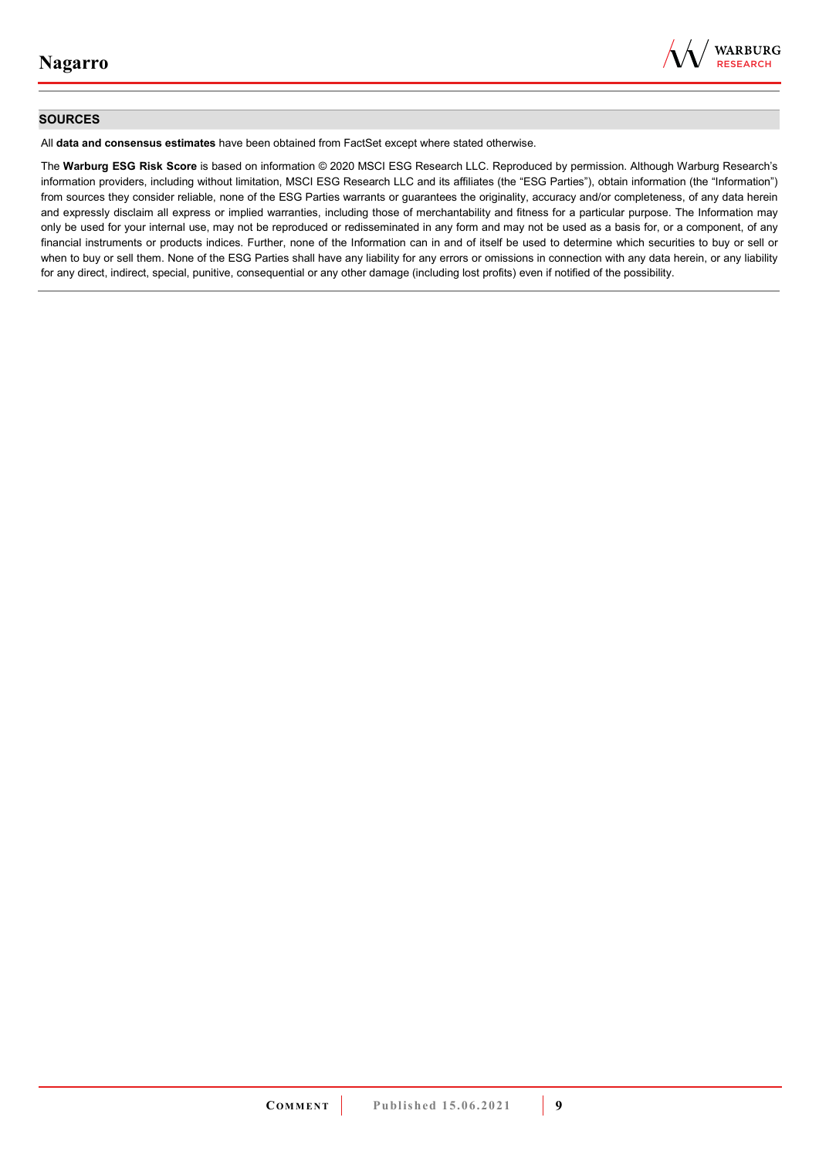

#### **SOURCES**

All **data and consensus estimates** have been obtained from FactSet except where stated otherwise.

The **Warburg ESG Risk Score** is based on information © 2020 MSCI ESG Research LLC. Reproduced by permission. Although Warburg Research's information providers, including without limitation, MSCI ESG Research LLC and its affiliates (the "ESG Parties"), obtain information (the "Information") from sources they consider reliable, none of the ESG Parties warrants or guarantees the originality, accuracy and/or completeness, of any data herein and expressly disclaim all express or implied warranties, including those of merchantability and fitness for a particular purpose. The Information may only be used for your internal use, may not be reproduced or redisseminated in any form and may not be used as a basis for, or a component, of any financial instruments or products indices. Further, none of the Information can in and of itself be used to determine which securities to buy or sell or when to buy or sell them. None of the ESG Parties shall have any liability for any errors or omissions in connection with any data herein, or any liability for any direct, indirect, special, punitive, consequential or any other damage (including lost profits) even if notified of the possibility.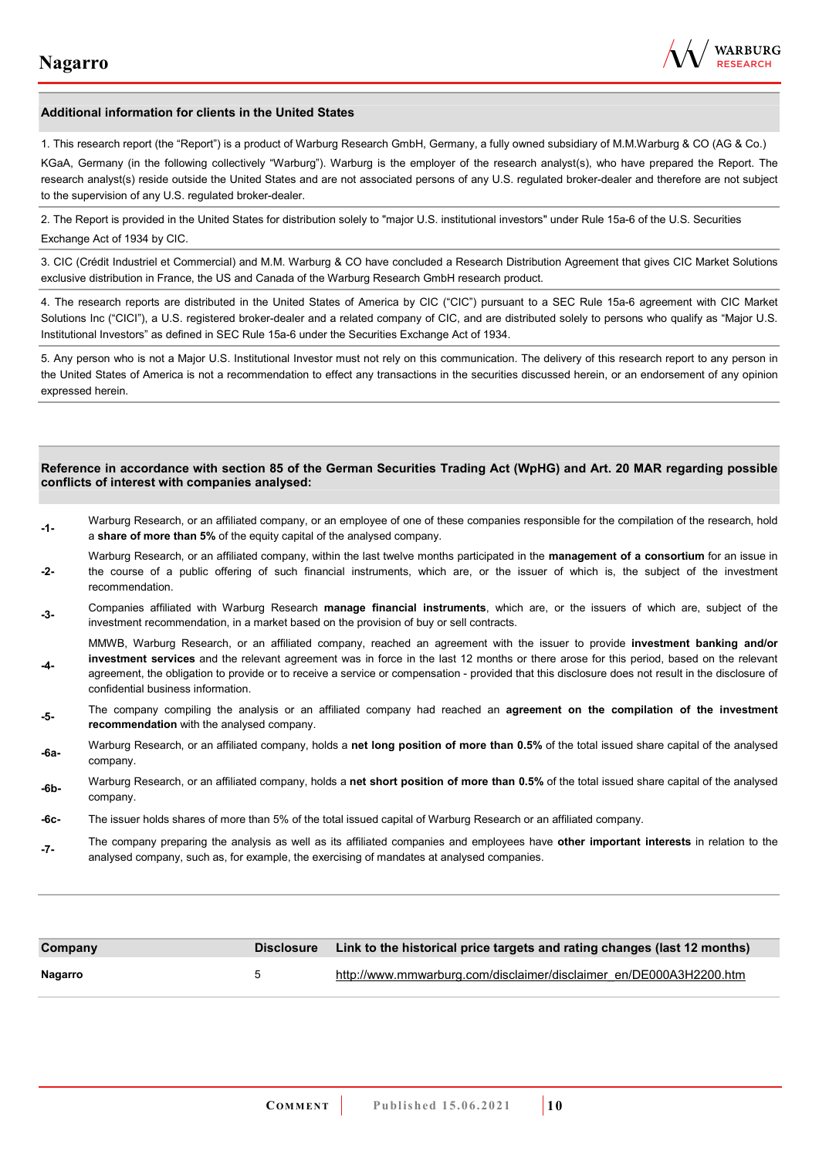**-4-** 

confidential business information.



#### **Additional information for clients in the United States**

1. This research report (the "Report") is a product of Warburg Research GmbH, Germany, a fully owned subsidiary of M.M.Warburg & CO (AG & Co.)

KGaA, Germany (in the following collectively "Warburg"). Warburg is the employer of the research analyst(s), who have prepared the Report. The research analyst(s) reside outside the United States and are not associated persons of any U.S. regulated broker-dealer and therefore are not subject to the supervision of any U.S. regulated broker-dealer.

2. The Report is provided in the United States for distribution solely to "major U.S. institutional investors" under Rule 15a-6 of the U.S. Securities Exchange Act of 1934 by CIC.

3. CIC (Crédit Industriel et Commercial) and M.M. Warburg & CO have concluded a Research Distribution Agreement that gives CIC Market Solutions exclusive distribution in France, the US and Canada of the Warburg Research GmbH research product.

4. The research reports are distributed in the United States of America by CIC ("CIC") pursuant to a SEC Rule 15a-6 agreement with CIC Market Solutions Inc ("CICI"), a U.S. registered broker-dealer and a related company of CIC, and are distributed solely to persons who qualify as "Major U.S. Institutional Investors" as defined in SEC Rule 15a-6 under the Securities Exchange Act of 1934.

5. Any person who is not a Major U.S. Institutional Investor must not rely on this communication. The delivery of this research report to any person in the United States of America is not a recommendation to effect any transactions in the securities discussed herein, or an endorsement of any opinion expressed herein.

#### **Reference in accordance with section 85 of the German Securities Trading Act (WpHG) and Art. 20 MAR regarding possible conflicts of interest with companies analysed:**

- **-1-** Warburg Research, or an affiliated company, or an employee of one of these companies responsible for the compilation of the research, hold a **share of more than 5%** of the equity capital of the analysed company.
- **-2-**  Warburg Research, or an affiliated company, within the last twelve months participated in the **management of a consortium** for an issue in the course of a public offering of such financial instruments, which are, or the issuer of which is, the subject of the investment recommendation.
- **-3-** Companies affiliated with Warburg Research **manage financial instruments**, which are, or the issuers of which are, subject of the investment recommendation, in a market based on the provision of buy or sell contracts.

MMWB, Warburg Research, or an affiliated company, reached an agreement with the issuer to provide **investment banking and/or investment services** and the relevant agreement was in force in the last 12 months or there arose for this period, based on the relevant agreement, the obligation to provide or to receive a service or compensation - provided that this disclosure does not result in the disclosure of

- **-5-** The company compiling the analysis or an affiliated company had reached an **agreement on the compilation of the investment recommendation** with the analysed company.
- **-6a-** Warburg Research, or an affiliated company, holds a **net long position of more than 0.5%** of the total issued share capital of the analysed company.
- **-6b-** Warburg Research, or an affiliated company, holds a **net short position of more than 0.5%** of the total issued share capital of the analysed company.
- **-6c-** The issuer holds shares of more than 5% of the total issued capital of Warburg Research or an affiliated company.
- **-7-** The company preparing the analysis as well as its affiliated companies and employees have **other important interests** in relation to the analysed company, such as, for example, the exercising of mandates at analysed companies.

| Company |   | Disclosure Link to the historical price targets and rating changes (last 12 months) |
|---------|---|-------------------------------------------------------------------------------------|
| Nagarro | 5 | http://www.mmwarburg.com/disclaimer/disclaimer_en/DE000A3H2200.htm                  |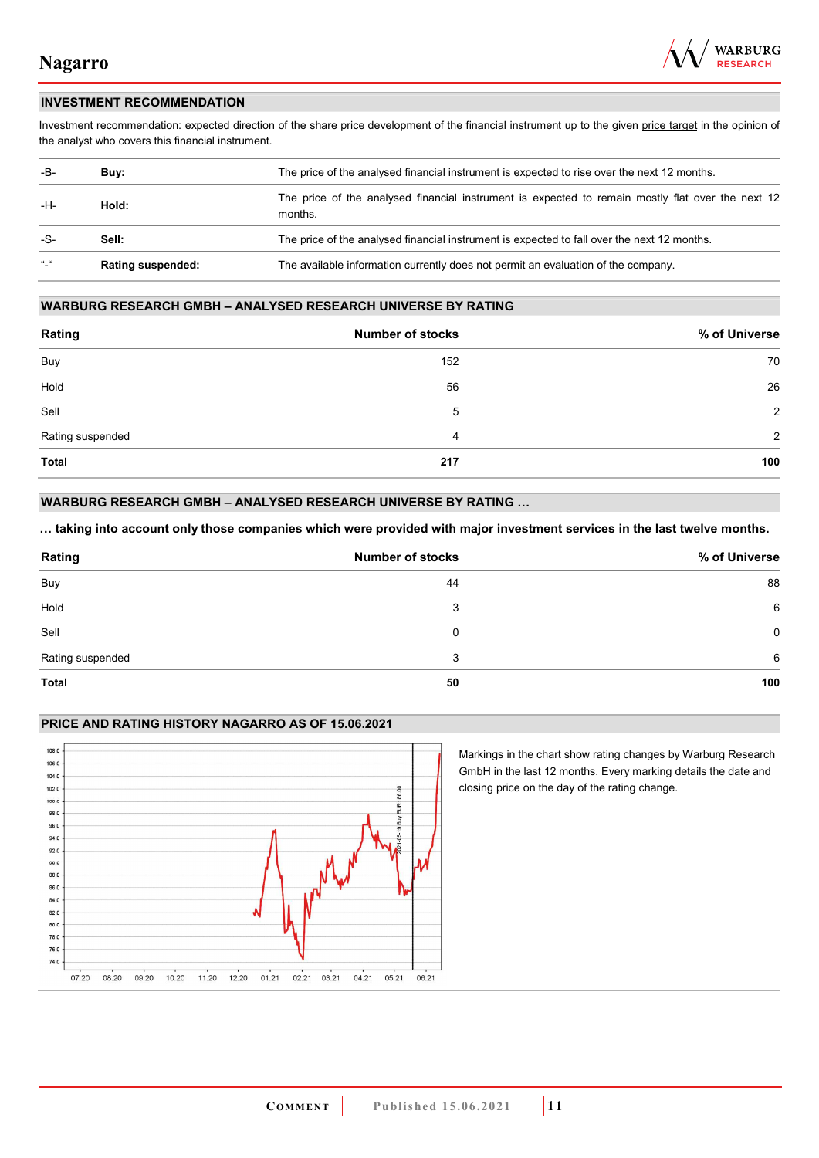

### **INVESTMENT RECOMMENDATION**

Investment recommendation: expected direction of the share price development of the financial instrument up to the given price target in the opinion of the analyst who covers this financial instrument.

| -B-                       | Buv:                     | The price of the analysed financial instrument is expected to rise over the next 12 months.                  |
|---------------------------|--------------------------|--------------------------------------------------------------------------------------------------------------|
| -H-                       | Hold:                    | The price of the analysed financial instrument is expected to remain mostly flat over the next 12<br>months. |
| -S-                       | Sell:                    | The price of the analysed financial instrument is expected to fall over the next 12 months.                  |
| $\mathbf{u}$ $\mathbf{u}$ | <b>Rating suspended:</b> | The available information currently does not permit an evaluation of the company.                            |

#### **WARBURG RESEARCH GMBH – ANALYSED RESEARCH UNIVERSE BY RATING**

| Rating           | <b>Number of stocks</b> | % of Universe |
|------------------|-------------------------|---------------|
| <b>Buy</b>       | 152                     | 70            |
| Hold             | 56                      | 26            |
| Sell             | 5                       | 2             |
| Rating suspended | 4                       | 2             |
| <b>Total</b>     | 217                     | 100           |

### **WARBURG RESEARCH GMBH – ANALYSED RESEARCH UNIVERSE BY RATING …**

**… taking into account only those companies which were provided with major investment services in the last twelve months.** 

| Rating           | <b>Number of stocks</b> | % of Universe |
|------------------|-------------------------|---------------|
| Buy              | 44                      | 88            |
| Hold             | 3                       | 6             |
| Sell             | 0                       | 0             |
| Rating suspended | 3                       | 6             |
| <b>Total</b>     | 50                      | 100           |

#### **PRICE AND RATING HISTORY NAGARRO AS OF 15.06.2021**



Markings in the chart show rating changes by Warburg Research GmbH in the last 12 months. Every marking details the date and closing price on the day of the rating change.